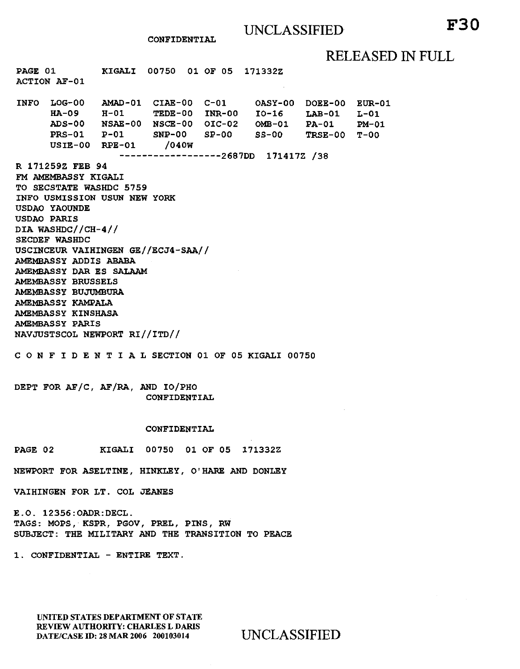CONFIDENTIAL

## RELEASED IN FULL

PAGE 01 ACTION AF-01 KIGALI 00750 01 OF 05 171332Z INFO LOG-00 AMAD-01 CIAE-00 C-Ol OASY-00 DOEE-00 EUR-01 HA-09 ADS-00 NSAE-00 NSCE-00 OIC-02 OMB-01 PRS-01 USIE-00 RPE-01 H-01 P-01 TEDE-00 INR-00 I0-16 SNP-00 SP-00 /040W ------------------2687DD 171417Z /38 R 171259Z FEB 94 FM AMEMBASSY KIGALI TO SECSTATE WASHDC 5759 INFO USMISSION USUN NEW YORK USDAO YAOUNDE USDAO PARIS DIA WASHDC//CH-4// SECDEF WASHDC USCINCEUR VAIHINGEN GE//ECJ4-SAA// AMEMBASSY ADDIS ABABA AMEMBASSY DAR ES SALAAM AMEMBASSY BRUSSELS AMEMBASSY BUJUMBURA AMEMBASSY KAMPALA AMEMBASSY KINSHASA AMEMBASSY PARIS NAVJUSTSCOL NEWPORT RI//ITD// SS-00 LAB-01 PA-01 TRSE-00 T-OO C 0 N F I D E N T I A L SECTION 01 OF 05 KIGALI 00750  $L-01$ PM-01

DEPT FOR AF/C, AF/RA, AND IO/PHO CONFIDENTIAL

#### CONFIDENTIAL

PAGE 02 KIGALI 00750 01 OF 05 171332Z

NEWPORT FOR ASELTINE, HINKLEY, O'HARE AND DONLEY

VAIHINGEN FOR LT. COL JEANES

E.O. 12356:0ADR:DECL. TAGS: MOPS, KSPR, PGOV, PREL, PINS, RW SUBJECT: THE MILITARY AND THE TRANSITION TO PEACE

1. CONFIDENTIAL -ENTIRE TEXT.

UNITED STATES DEPARTMENT OF STATE REVIEW AUTHORITY: CHARLES L DARIS DATE/CASE ID: 28 MAR 2006 200103014 UNCLASSIFIED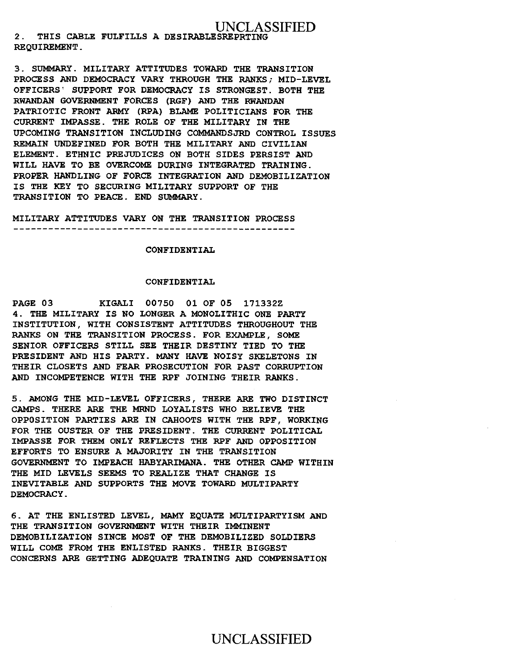### UNCLASSIFIED 2. THIS CABLE FULFILLS A DESIRABLESREPRTING REQUIREMENT.

3. SUMMARY. MILITARY ATTITUDES TOWARD THE TRANSITION PROCESS AND DEMOCRACY VARY THROUGH THE RANKS; MID-LEVEL OFFICERS' SUPPORT FOR DEMOCRACY IS STRONGEST. BOTH THE RWANDAN GOVERNMENT FORCES (RGF) AND THE RWANDAN PATRIOTIC FRONT ARMY (RPA) BLAME POLITICIANS FOR THE CURRENT IMPASSE. THE ROLE OF THE MILITARY IN THE UPCOMING TRANSITION INCLUDING COMMANDSJRD CONTROL ISSUES REMAIN UNDEFINED FOR BOTH THE MILITARY AND CIVILIAN ELEMENT. ETHNIC PREJUDICES ON BOTH SIDES PERSIST AND WILL HAVE TO BE OVERCOME DURING INTEGRATED TRAINING. PROPER HANDLING OF FORCE INTEGRATION AND DEMOBILIZATION IS THE KEY TO SECURING MILITARY SUPPORT OF THE TRANSITION TO PEACE. END SUMMARY.

MILITARY ATTITUDES VARY ON THE TRANSITION PROCESS 

#### CONFIDENTIAL

#### CONFIDENTIAL

PAGE 03 KIGALI 00750 01 OF 05 171332Z 4. THE MILITARY IS NO LONGER A MONOLITHIC ONE PARTY INSTITUTION, WITH CONSISTENT ATTITUDES THROUGHOUT THE RANKS ON THE TRANSITION PROCESS. FOR EXAMPLE, SOME SENIOR OFFICERS STILL SEE THEIR DESTINY TIED TO THE PRESIDENT AND HIS PARTY. MANY HAVE NOISY SKELETONS IN THEIR CLOSETS AND FEAR PROSECUTION FOR PAST CORRUPTION AND INCOMPETENCE WITH THE RPF JOINING THEIR RANKS.

5. AMONG THE MID-LEVEL OFFICERS, THERE ARE TWO DISTINCT CAMPS. THERE ARE THE MRND LOYALISTS WHO BELIEVE THE OPPOSITION PARTIES ARE IN CAHOOTS WITH THE RPF, WORKING FOR THE OUSTER OF THE PRESIDENT. THE CURRENT POLITICAL IMPASSE FOR THEM ONLY REFLECTS THE RPF AND OPPOSITION EFFORTS TO ENSURE A MAJORITY IN THE TRANSITION GOVERNMENT TO IMPEACH HABYARIMANA. THE OTHER CAMP WITHIN THE MID LEVELS SEEMS TO REALIZE THAT CHANGE IS INEVITABLE AND SUPPORTS THE MOVE TOWARD MULTIPARTY DEMOCRACY.

6. AT THE ENLISTED LEVEL, MAMY EQUATE MULTIPARTYISM AND THE TRANSITION GOVERNMENT WITH THEIR IMMINENT DEMOBILIZATION SINCE MOST OF THE DEMOBILIZED SOLDIERS WILL COME FROM THE ENLISTED RANKS. THEIR BIGGEST CONCERNS ARE GETTING ADEQUATE TRAINING AND COMPENSATION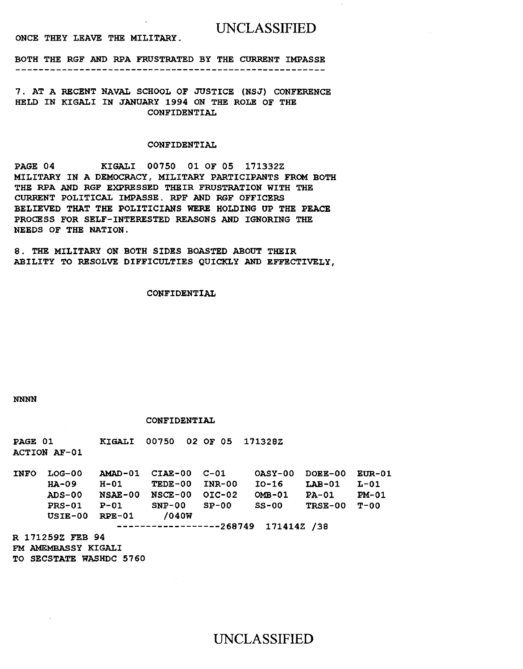ONCE THEY LEAVE THE MILITARY.

BOTH THE RGF AND RPA FRUSTRATED BY THE CURRENT IMPASSE 

7. AT A RECENT NAVAL SCHOOL OF JUSTICE (NSJ) CONFERENCE HELD IN KIGALI IN JANUARY 1994 ON THE ROLE OF THE CONFIDENTIAL

### CONFIDENTIAL

PAGE 04 KIGALI 00750 01 OF 05 171332Z MILITARY IN A DEMOCRACY, MILITARY PARTICIPANTS FROM BOTH THE RPA AND RGF EXPRESSED THEIR FRUSTRATION WITH THE CURRENT POLITICAL IMPASSE. RPF AND RGF OFFICERS BELIEVED THAT THE POLITICIANS WERE HOLDING UP THE PEACE PROCESS FOR SELF-INTERESTED REASONS AND IGNORING THE NEEDS OF THE NATION.

8. THE MILITARY ON BOTH SIDES BOASTED ABOUT THEIR ABILITY TO RESOLVE DIFFICULTIES QUICKLY AND EFFECTIVELY,

#### CONFIDENTIAL

#### NNNN

#### CONFIDENTIAL

PAGE 01 ACTION AF-01 KIGALI 00750 02 OF 05 171328Z

INFO LOG-00 AMAD-01 CIAE-00 C-01 OASY-00 DOEE-00 EUR-01 HA-09 H-01 TEDE-00 INR-00 I0-16 LAB-01 L-01 ADS-00 PRS-01 P-Ol SNP-00 SP-00 ss-oo USIE-00 RPE-01 /040W NSAE-00 NSCE-00 OIC-02 OMB-01 ------------------268749 171414Z /38 PA-01 TRSE-00 T-OO PM-01

R 171259Z FEB 94 FM AMEMBASSY KIGALI TO SECSTATE WASHDC 5760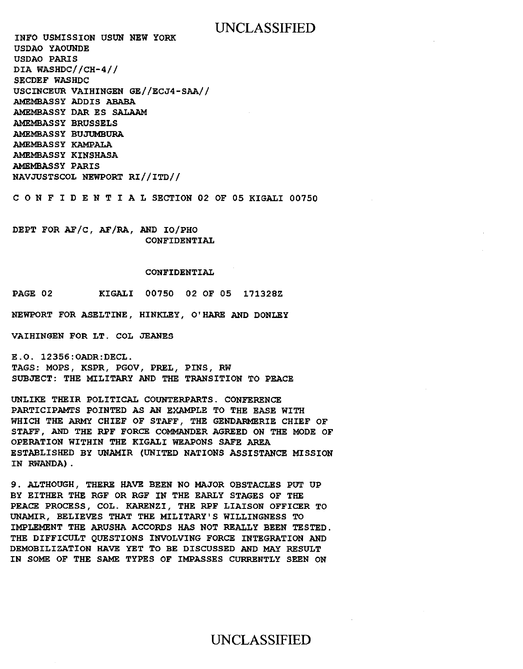INFO USMISSION USUN NEW YORK USDAO YAOUNDE USDAO PARIS DIA WASHDC//CH-4// SECDEF WASHDC USCINCEUR VAIHINGEN GE//ECJ4-SAA// AMEMBASSY ADDIS ABABA AMEMBASSY DAR ES SALAAM AMEMBASSY BRUSSELS AMEMBASSY BUJUMBURA AMEMBASSY KAMPALA AMEMBASSY KINSHASA AMEMBASSY PARIS NAVJUSTSCOL NEWPORT RI//ITD//

C 0 N F I D E N T I A L SECTION 02 OF 05 KIGALI 00750

DEPT FOR AF/C, AF/RA, AND IO/PHO CONFIDENTIAL

#### CONFIDENTIAL

PAGE 02 KIGALI 00750 02 OF 05 171328Z

NEWPORT FOR ASELTINE, HINKLEY, O'HARE AND DONLEY

VAIHINGEN FOR LT. COL JEANES

E.O. 12356:0ADR:DECL. TAGS: MOPS, KSPR, PGOV, PREL, PINS, RW SUBJECT: THE MILITARY AND THE TRANSITION TO PEACE

UNLIKE THEIR POLITICAL COUNTERPARTS. CONFERENCE PARTICIPAMTS POINTED AS AN EXAMPLE TO THE EASE WITH WHICH THE ARMY CHIEF OF STAFF, THE GENDARMERIE CHIEF OF STAFF , AND THE RPF FORCE COMMANDER AGREED ON THE MODE OF OPERATION WITHIN THE KIGALI WEAPONS SAFE AREA ESTABLISHED BY UNAMIR (UNITED NATIONS ASSISTANCE MISSION IN RWANDA).

9. ALTHOUGH, THERE HAVE BEEN NO MAJOR OBSTACLES PUT UP BY EITHER THE RGF OR RGF IN THE EARLY STAGES OF THE PEACE PROCESS, COL. KARENZI, THE RPF LIAISON OFFICER TO UNAMIR, BELIEVES THAT THE MILITARY'S WILLINGNESS TO IMPLEMENT THE ARUSHA ACCORDS HAS NOT REALLY BEEN TESTED. THE DIFFICULT QUESTIONS INVOLVING FORCE INTEGRATION AND DEMOBILIZATION HAVE YET TO BE DISCUSSED AND MAY RESULT IN SOME OF THE SAME TYPES OF IMPASSES CURRENTLY SEEN ON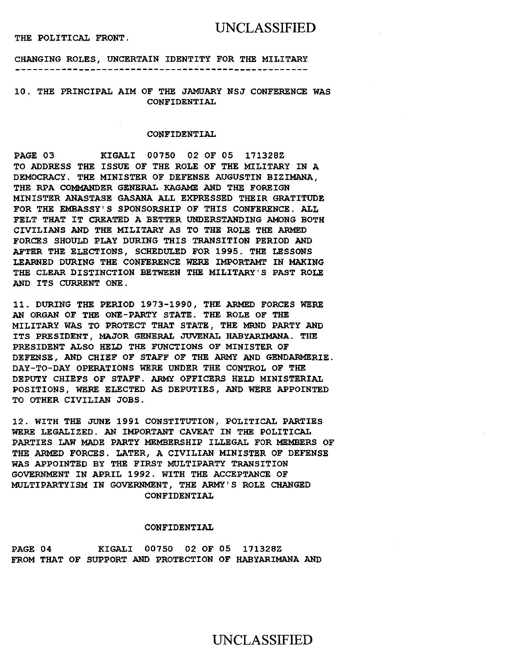#### THE POLITICAL FRONT.

## UNCLASSIFIED

CHANGING ROLES, UNCERTAIN IDENTITY FOR THE MILITARY 

10. THE PRINCIPAL AIM OF THE JAMUARY NSJ CONFERENCE WAS CONFIDENTIAL

#### CONFIDENTIAL

PAGE 03 KIGALI 00750 02 OF 05 17132BZ TO ADDRESS THE ISSUE OF THE ROLE OF THE MILITARY IN A DEMOCRACY. THE MINISTER OF DEFENSE AUGUSTIN BIZIMANA, THE RPA COMMANDER GENERAL KAGAME AND THE FOREIGN MINISTER ANASTASE GASANA ALL EXPRESSED THEIR GRATITUDE FOR THE EMBASSY'S SPONSORSHIP OF THIS CONFERENCE. ALL FELT THAT IT CREATED A BETTER UNDERSTANDING AMONG BOTH CIVILIANS AND THE MILITARY AS TO THE ROLE THE ARMED FORCES SHOULD PLAY DURING THIS TRANSITION PERIOD AND AFTER THE ELECTIONS, SCHEDULED FOR 1995. THE LESSONS LEARNED DURING THE CONFERENCE WERE IMPORTAMT IN MAKING THE CLEAR DISTINCTION BETWEEN THE MILITARY'S PAST ROLE AND ITS CURRENT ONE.

11. DURING THE PERIOD 1973-1990, THE ARMED FORCES WERE AN ORGAN OF THE ONE-PARTY STATE. THE ROLE OF THE MILITARY WAS TO PROTECT THAT STATE, THE MRND PARTY AND ITS PRESIDENT, MAJOR GENERAL JUVENAL HABYARIMANA. THE PRESIDENT ALSO HELD THE FUNCTIONS OF MINISTER OF DEFENSE, AND CHIEF OF STAFF OF THE ARMY AND GENDARMERIE. DAY-TO-DAY OPERATIONS WERE UNDER THE CONTROL OF THE DEPUTY CHIEFS OF STAFF. ARMY OFFICERS HELD MINISTERIAL POSITIONS, WERE ELECTED AS DEPUTIES, AND WERE APPOINTED TO OTHER CIVILIAN JOBS.

12. WITH THE JUNE 1991 CONSTITUTION, POLITICAL PARTIES WERE LEGALIZED. AN IMPORTANT CAVEAT IN THE POLITICAL PARTIES LAW MADE PARTY MEMBERSHIP ILLEGAL FOR MEMBERS OF THE ARMED FORCES. LATER, A CIVILIAN MINISTER OF DEFENSE WAS APPOINTED BY THE FIRST MULTIPARTY TRANSITION GOVERNMENT IN APRIL 1992. WITH THE ACCEPTANCE OF MULTIPARTYISM IN GOVERNMENT, THE ARMY'S ROLE CHANGED CONFIDENTIAL

#### CONFIDENTIAL

PAGE 04 KIGALI 00750 02 OF 05 17132BZ FROM THAT OF SUPPORT AND PROTECTION OF HABYARIMANA AND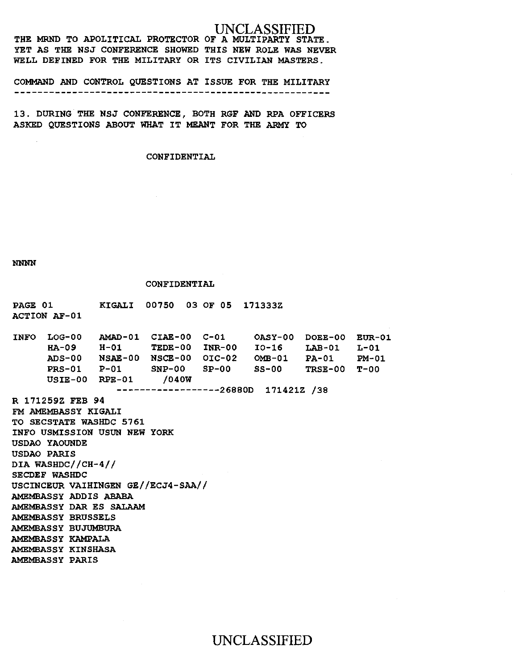THE MRND TO APOLITICAL PROTECTOR OF A MULTIPARTY STATE. YET AS THE NSJ CONFERENCE SHOWED THIS NEW ROLE WAS NEVER WELL DEFINED FOR THE MILITARY OR ITS CIVILIAN MASTERS.

COMMAND AND CONTROL QUESTIONS AT ISSUE FOR THE MILITARY 

13. DURING THE NSJ CONFERENCE, BOTH RGF AND RPA OFFICERS ASKED QUESTIONS ABOUT WHAT IT MEANT FOR THE ARMY TO

CONFIDENTIAL

NNNN

#### CONFIDENTIAL

PAGE 01 ACTION AF-01 KIGALI 00750 03 OF 05 171333Z INFO LOG-00 AMAD-01 CIAE-00 C-Ol HA-09 ADS-00 NSAE-00 NSCE-00 OIC-02 OMB-01 PRS-01 P-01 SNP-00 SP-00 SS-00 USIE-00 RPE-01 /040W H-01 TEDE-00 INR-00 ------------------26880D 171421Z /38 R 171259Z FEB 94 FM AMEMBASSY KIGALI TO SECSTATE WASHDC 5761 INFO USMISSION USUN NEW YORK USDAO YAOUNDE USDAO PARIS DIA WASHDC//CH-4// SECDEF WASHDC USCINCEUR VAIHINGEN GE//ECJ4-SAA// AMBMBASSY ADDIS ABABA AMEMBASSY DAR ES SALAAM AMBMBASSY BRUSSELS AMEMBASSY BUJUMBURA AMEMBASSY KAMPALA AMBMBASSY KINSHASA AMBMBASSY PARIS OASY-00 DOEE-00 EUR-01 I0-16 LAB-01 PA-01 TRSE-00 T-OO L-01 PM-01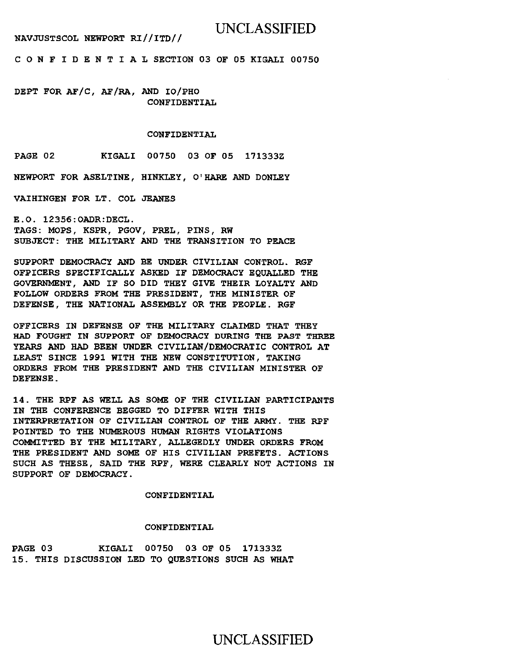NAVJUSTSCOL NEWPORT RI//ITD//

## UNCLASSIFIED

C 0 N F I D E N T I A L SECTION 03 OF OS KIGALI 007SO

DEPT FOR AF/C, AF/RA, AND IO/PHO CONFIDENTIAL

#### CONFIDENTIAL

PAGE 02 KIGALI 007SO 03 OF OS 171333Z

NEWPORT FOR ASELTINE, HINKLEY, 0' HARE AND DONLEY

VAIHINGEN FOR LT. COL JEANES

E.O. 123S6:0ADR:DECL. TAGS: MOPS, KSPR, PGOV, PREL, PINS, RW SUBJECT: THE MILITARY AND THE TRANSITION TO PEACE

SUPPORT DEMOCRACY AND BE UNDER CIVILIAN CONTROL. RGF OFPICERS SPECIFICALLY ASKED IF DEMOCRACY EQUALLED THE GOVERNMENT, AND IF SO DID THEY GIVE THEIR LOYALTY AND FOLLOW ORDERS FROM THE PRESIDENT, THE MINISTER OF DEFENSE, THE NATIONAL ASSEMBLY OR THE PEOPLE. RGF

OFFICERS IN DEFENSE OF THE MILITARY CLAIMED THAT THEY HAD FOUGHT IN SUPPORT OF DEMOCRACY DURING THE PAST THREE YEARS AND HAD BEEN UNDER CIVILIAN/DEMOCRATIC CONTROL AT LEAST SINCE 1991 WITH THE NEW CONSTITUTION, TAKING ORDERS FROM THE PRESIDENT AND THE CIVILIAN MINISTER OF DEFENSE.

14. THE RPF AS WELL AS SOME OF THE CIVILIAN PARTICIPANTS IN THE CONFERENCE BEGGED TO DIFFER WITH THIS INTERPRETATION OF CIVILIAN CONTROL OF THE ARMY. THE RPF POINTED TO THE NUMEROUS HUMAN RIGHTS VIOLATIONS COMMITTED BY THE MILITARY, ALLEGEDLY UNDER ORDERS FROM THE PRESIDENT AND SOME OF HIS CIVILIAN PREFETS. ACTIONS SUCH AS THESE, SAID THE RPF, WERE CLEARLY NOT ACTIONS IN SUPPORT OF DEMOCRACY.

CONFIDENTIAL

#### CONFIDENTIAL

PAGE 03 KIGALI 00750 03 OF 05 171333Z 1S. THIS DISCUSSION LED TO QUESTIONS SUCH AS WHAT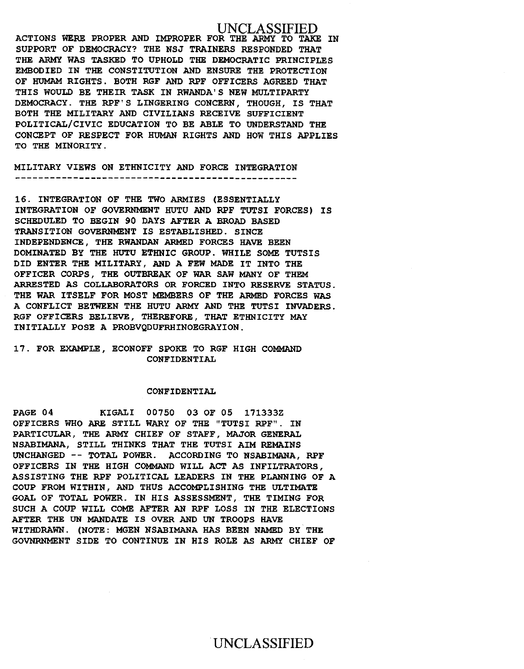ACTIONS WERE PROPER AND IMPROPER FOR THE ARMY TO TAKE IN SUPPORT OF DEMOCRACY? THE NSJ TRAINERS RESPONDED THAT THE ARMY WAS TASKED TO UPHOLD THE DEMOCRATIC PRINCIPLES EMBODIED IN THE CONSTITUTION AND ENSURE THE PROTECTION OF HUMAM RIGHTS. BOTH RGF AND RPF OFFICERS AGREED THAT THIS WOULD BE THEIR TASK IN RWANDA'S NEW MULTIPARTY DEMOCRACY. THE RPF'S LINGERING CONCERN, THOUGH, IS THAT BOTH THE MILITARY AND CIVILIANS RECEIVE SUFFICIENT POLITICAL/CIVIC EDUCATION TO BE ABLE TO UNDERSTAND THE CONCEPT OF RESPECT FOR HUMAN RIGHTS AND HOW THIS APPLIES TO THE MINORITY.

MILITARY VIEWS ON ETHNICITY AND FORCE INTEGRATION

16. INTEGRATION OF THE TWO ARMIES (ESSENTIALLY INTEGRATION OF GOVERNMENT HUTU AND RPF TUTSI FORCES) IS SCHEDULED TO BEGIN 90 DAYS AFTER A BROAD BASED TRANSITION GOVERNMENT IS ESTABLISHED. SINCE INDEPENDENCE, THE RWANDAN ARMED FORCES HAVE BEEN DOMINATED BY THE HUTU ETHNIC GROUP. WHILE SOME TUTSIS DID ENTER THE MILITARY, AND A FEW MADE IT INTO THE OFFICER CORPS, THE OUTBREAK OF WAR SAW MANY OF THEM ARRESTED AS COLLABORATORS OR FORCED INTO RESERVE STATUS. THE WAR ITSELF FOR MOST MEMBERS OF THE ARMED FORCES WAS A CONFLICT BETWEEN THE HUTU ARMY AND THE TUTSI INVADERS. RGF OFFICERS BELIEVE, THEREFORE, THAT ETHNICITY MAY INITIALLY POSE A PROBVQDUFRHINOEGRAYION.

#### 17. FOR EXAMPLE, ECONOFF SPOKE TO RGF HIGH COMMAND CONFIDENTIAL

#### CONFIDENTIAL

PAGE 04 KIGALI 00750 03 OF 05 171333Z OFFICERS WHO ARE STILL WARY OF THE "TUTSI RPF". IN PARTICULAR, THE ARMY CHIEF OF STAFF, MAJOR GENERAL NSABIMANA, STILL THINKS THAT THE TUTSI AIM REMAINS UNCHANGED -- TOTAL POWER. ACCORDING TO NSABIMANA, RPF OFFICERS IN THE HIGH COMMAND WILL ACT AS INFILTRATORS, ASSISTING THE RPF POLITICAL LEADERS IN THE PLANNING OF A COUP FROM WITHIN, AND THUS ACCOMPLISHING THE ULTIMATE GOAL OF TOTAL POWER. IN HIS ASSESSMENT, THE TIMING FOR SUCH A COUP WILL COME AFTER AN RPF LOSS IN THE ELECTIONS AFTER THE UN MANDATE IS OVER AND UN TROOPS HAVE WITHDRAWN. (NOTE: MGEN NSABIMANA HAS BEEN NAMED BY THE GOVNRNMENT SIDE TO CONTINUE IN HIS ROLE AS ARMY CHIEF OF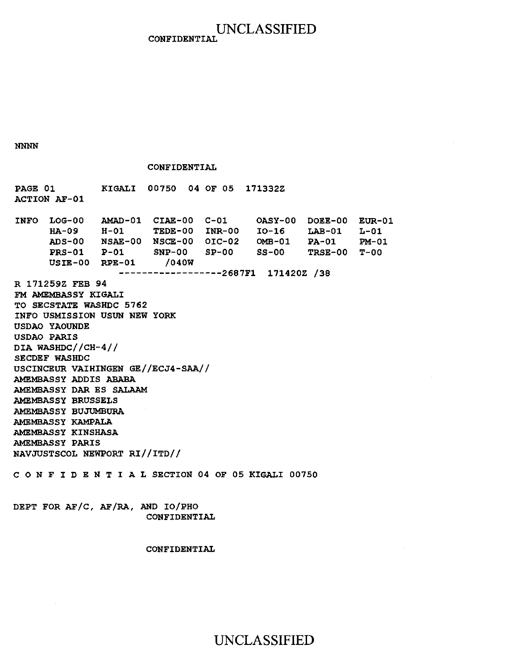### UNCLASSIFIED **CONFIDENTIAL**

NNNN

#### CONFIDENTIAL

PAGE 01 ACTION AF-01 KIGALI 00750 04 OF 05 171332Z INFO LOG-00 AMAD-01 CIAE-00 C-01 HA-09 ADS-00 PRS-01 USIE-00 RPE-01 H-01 NSAE-00 NSCE-00 OIC-02 P-01 TEDE-00 INR-00 SNP-00 SP-00 /040W ------------------2687F1 171420Z /38 R 171259Z FEB 94 FM AMEMBASSY KIGALI TO SECSTATE WASHDC 5762 INFO USMISSION USUN NEW YORK USDAO YAOUNDE USDAO PARIS DIA WASHDC//CH-4// SECDEF WASHDC USCINCEUR VAIHINGEN GE//ECJ4-SAA// AMEMBASSY ADDIS ABABA AMEMBASSY DAR ES SALAAM AMEMBASSY BRUSSELS AMEMBASSY BUJUMBURA AMEMBASSY KAMPALA AMEMBASSY KINSHASA AMEMBASSY PARIS NAVJUSTSCOL NEWPORT RI//ITD// OASY-00 DOEE-00 EUR-01 I0-16 OMB-01 SS-00 LAB-01 PA-01 TRSE-00 T-00  $L-01$ PM-01

C 0 N F I D E N T I A L SECTION 04 OF 05 KIGALI 00750

DEPT FOR AF/C, AF/RA, AND IO/PHO CONFIDENTIAL

#### CONFIDENTIAL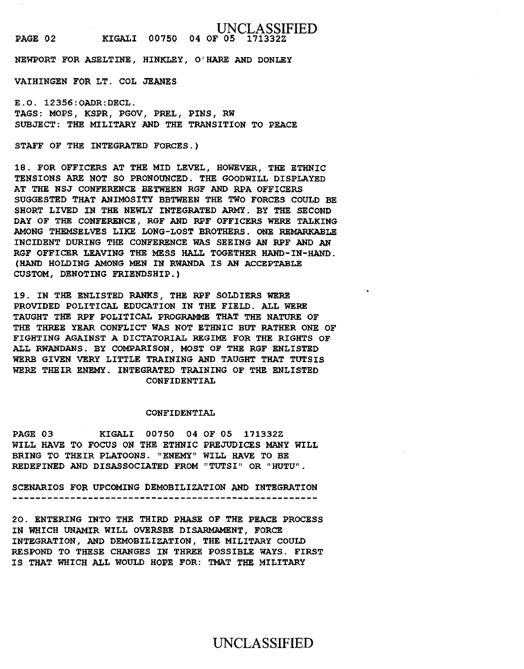NEWPORT FOR ASELTINE, HINKLEY, O'HARE AND DONLEY

VAIHINGEN FOR LT. COL JEANES

E.O. 12356:0ADR:DECL. TAGS: MOPS, KSPR, PGOV, PREL, PINS, RW SUBJECT: THE MILITARY AND THE TRANSITION TO PEACE

STAFF OF THE INTEGRATED FORCES.)

18. FOR OFFICERS AT THE MID LEVEL, HOWEVER, THE ETHNIC TENSIONS ARE NOT SO PRONOUNCED. THE GOODWILL DISPLAYED AT THE NSJ CONFERENCE BETWEEN RGF AND RPA OFFICERS SUGGESTED THAT ANIMOSITY BBTWEEN THE TWO FORCES COULD BE SHORT LIVED IN THE NEWLY INTEGRATED ARMY. BY THE SECOND DAY OF THE CONFERENCE, RGF AND RPF OFFICERS WERE TALKING AMONG THEMSELVES LIKE LONG-LOST BROTHERS. ONE REMARKABLE INCIDENT DURING THE CONFERENCE WAS SEEING AN RPF AND AN RGF OFFICER LEAVING THE MESS HALL TOGETHER HAND-IN-HAND. (HAND HOLDING AMONG MEN IN RWANDA IS AN ACCEPTABLE CUSTOM, DENOTING FRIENDSHIP.)

19. IN THE ENLISTED RANKS, THE RPF SOLDIERS WERE PROVIDED POLITICAL EDUCATION IN THE FIELD. ALL WERE TAUGHT THE RPF POLITICAL PROGRAMME THAT THE NATURE OF THE THREE YEAR CONFLICT WAS NOT ETHNIC BUT RATHER ONE OF FIGHTING AGAINST A DICTATORIAL REGIME FOR THE RIGHTS OF ALL RWANDANS. BY COMPARISON, MOST OF THE RGF ENLISTED WERB GIVEN VERY LITTLE TRAINING AND TAUGHT THAT TUTSIS WERE THEIR ENEMY. INTEGRATED TRAINING OF THE ENLISTED CONFIDENTIAL

#### CONFIDENTIAL

PAGE 03 KIGALI 00750 04 OF 05 171332Z WILL HAVE TO FOCUS ON THE ETHNIC PREJUDICES MANY WILL BRING TO THEIR PLATOONS. "ENEMY" WILL HAVE TO BE REDEFINED AND DISASSOCIATED FROM "TUTSI" OR "HUTU".

SCENARIOS FOR UPCOMING DEMOBILIZATION AND INTEGRATION

20. ENTERING INTO THE THIRD PHASE OF THE PEACE PROCESS IN WHICH UNAMIR WILL OVERSEE DISARMAMENT, FORCE INTEGRATION, AND DEMOBILIZATION, THE MILITARY COULD RESPOND TO THESE CHANGES IN THREE POSSIBLE WAYS. FIRST IS THAT WHICH ALL WOULD HOPE FOR: TMAT THE MILITARY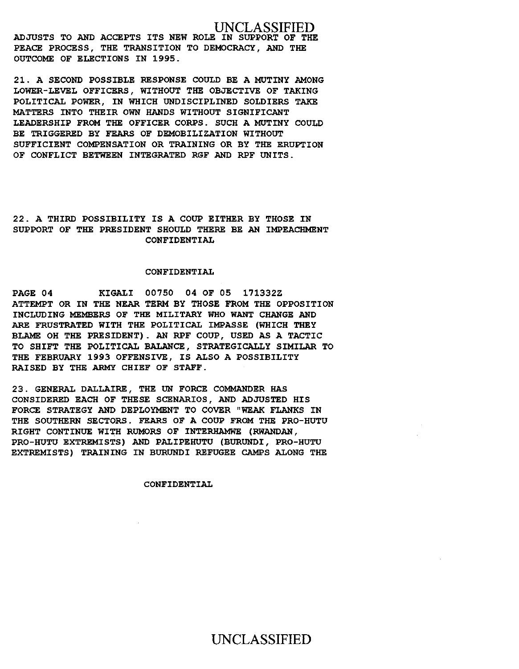ADJUSTS TO AND ACCEPTS ITS NEW ROLE IN SUPPORT OF THE PEACE PROCESS, THE TRANSITION TO DEMOCRACY, AND THE OUTCOME OF ELECTIONS IN 1995.

21. A SECOND POSSIBLE RESPONSE COULD BE A MUTINY AMONG LOWER-LEVEL OFFICERS, WITHOUT THE OBJECTIVE OF TAKING POLITICAL POWER, IN WHICH UNDISCIPLINED SOLDIERS TAKE MATTERS INTO THEIR OWN HANDS WITHOUT SIGNIFICANT LEADERSHIP FROM THE OFFICER CORPS. SUCH A MUTINY COULD BE TRIGGERED BY FEARS OF DEMOBILIZATION WITHOUT SUFFICIENT COMPENSATION OR TRAINING OR BY THE ERUPTION OF CONFLICT BETWEEN INTEGRATED RGF AND RPF UNITS.

22. A THIRD POSSIBILITY IS A COUP EITHER BY THOSE IN SUPPORT OF THE PRESIDENT SHOULD THERE BE AN IMPEACHMENT CONFIDENTIAL

#### CONFIDENTIAL

PAGE 04 KIGALI 00750 04 OF OS 171332Z ATTEMPT OR IN THE NEAR TERM BY THOSE FROM THE OPPOSITION INCLUDING MEMBERS OF THE MILITARY WHO WANT CHANGE AND ARE FRUSTRATED WITH THE POLITICAL IMPASSE (WHICH THEY BLAME OH THE PRESIDENT). AN RPF COUP, USED AS A TACTIC TO SHIFT THE POLITICAL BALANCE, STRATEGICALLY SIMILAR TO THE FEBRUARY 1993 OFFENSIVE, IS ALSO A POSSIBILITY RAISED BY THE ARMY CHIEF OF STAFF.

23. GENERAL DALLAIRE, THE UN FORCE COMMANDER HAS CONSIDERED EACH OF THESE SCENARIOS, AND ADJUSTED HIS FORCE STRATEGY AND DEPLOYMENT TO COVER "WEAK FLANKS IN THE SOUTHERN SECTORS. FEARS OF A COUP FROM THE PRO-HUTU RIGHT CONTINUE WITH RUMORS OF INTERHAMWE (RWANDAN, PRO-HUTU EXTREMISTS) AND PALIPEHUTU (BURUNDI, PRO-HUTU EXTREMISTS) TRAINING IN BURUNDI REFUGEE CAMPS ALONG THE

#### CONFIDENTIAL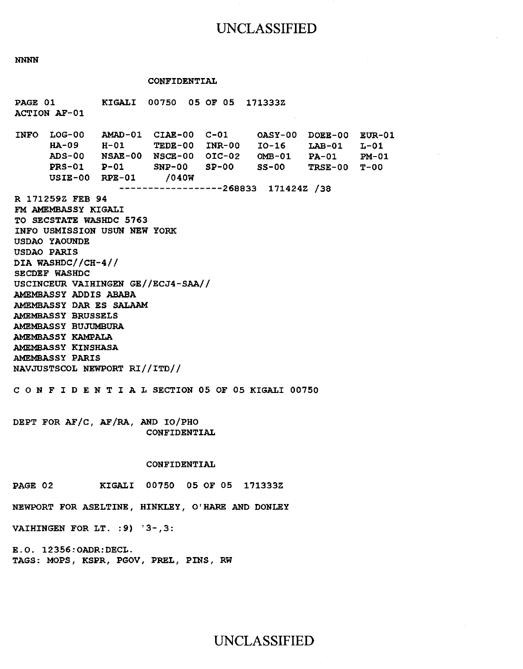NNNN

#### CONFIDENTIAL

PAGE 01 ACTION AF-01 KIGALI 00750 05 OF 05 171333Z INFO LOG-00 AMAD-01 CIAE-00 C-01 OASY-00 DOEE-00 EUR-01 HA-09 ADS-00 NSAE-00 NSCE-00 OIC-02 OMB-01 PRS-01 P-Ol SNP-00 SP-00 USIE-00 RPE-01 H-01 TEDE-00 INR-00 I0-16 LAB-01 L-01 /040W ------------------268833 171424Z /38 R 171259Z FEB 94 FM AMEMBASSY KIGALI TO SECSTATE WASHDC 5763 INFO USMISSION USUN NEW YORK USDAO YAOUNDE USDAO PARIS DIA WASHDC//CH-4// SECDEF WASHDC USCINCEUR VAIHINGEN GE//ECJ4-SAA// AMEMBASSY ADDIS ABABA AMEMBASSY DAR ES SALAAM AMEMBASSY BRUSSELS AMEMBASSY BUJUMBURA AMEMBASSY KAMPALA AMEMBASSY KINSHASA AMEMBASSY PARIS NAVJUSTSCOL NEWPORT RI//ITD// SS-00 PA-01 TRSE-00 T-OO C 0 N F I D E N T I A L SECTION 05 OF 05 KIGALI 00750 DEPT FOR AF/C, AF/RA, AND IO/PHO CONFIDENTIAL CONFIDENTIAL PAGE 02 KIGALI 00750 05 OF 05 171333Z NEWPORT FOR ASELTINE, HINKLEY, 0' HARE AND DONLEY VAIHINGEN FOR LT. :9) '3-,3: E.O. 12356:0ADR:DECL. PM-01

TAGS: MOPS, KSPR, PGOV, PREL, PINS, RW